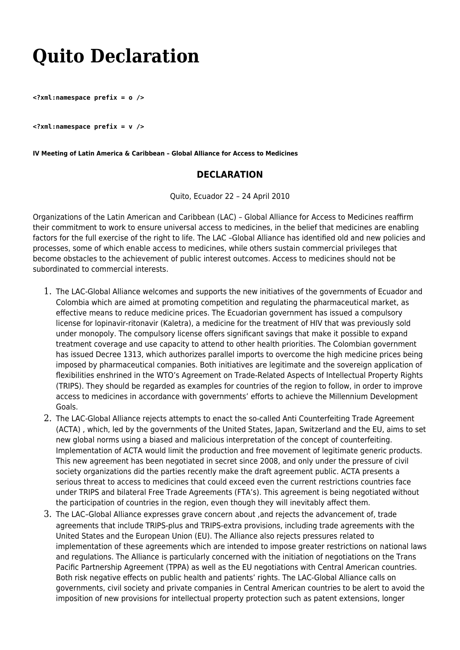## **Quito Declaration**

**<?xml:namespace prefix = o />**

**<?xml:namespace prefix = v />**

**IV Meeting of Latin America & Caribbean – Global Alliance for Access to Medicines**

## **DECLARATION**

Quito, Ecuador 22 – 24 April 2010

Organizations of the Latin American and Caribbean (LAC) – Global Alliance for Access to Medicines reaffirm their commitment to work to ensure universal access to medicines, in the belief that medicines are enabling factors for the full exercise of the right to life. The LAC –Global Alliance has identified old and new policies and processes, some of which enable access to medicines, while others sustain commercial privileges that become obstacles to the achievement of public interest outcomes. Access to medicines should not be subordinated to commercial interests.

- 1. The LAC-Global Alliance welcomes and supports the new initiatives of the governments of Ecuador and Colombia which are aimed at promoting competition and regulating the pharmaceutical market, as effective means to reduce medicine prices. The Ecuadorian government has issued a compulsory license for lopinavir-ritonavir (Kaletra), a medicine for the treatment of HIV that was previously sold under monopoly. The compulsory license offers significant savings that make it possible to expand treatment coverage and use capacity to attend to other health priorities. The Colombian government has issued Decree 1313, which authorizes parallel imports to overcome the high medicine prices being imposed by pharmaceutical companies. Both initiatives are legitimate and the sovereign application of flexibilities enshrined in the WTO's Agreement on Trade-Related Aspects of Intellectual Property Rights (TRIPS). They should be regarded as examples for countries of the region to follow, in order to improve access to medicines in accordance with governments' efforts to achieve the Millennium Development Goals.
- 2. The LAC-Global Alliance rejects attempts to enact the so-called Anti Counterfeiting Trade Agreement (ACTA) , which, led by the governments of the United States, Japan, Switzerland and the EU, aims to set new global norms using a biased and malicious interpretation of the concept of counterfeiting. Implementation of ACTA would limit the production and free movement of legitimate generic products. This new agreement has been negotiated in secret since 2008, and only under the pressure of civil society organizations did the parties recently make the draft agreement public. ACTA presents a serious threat to access to medicines that could exceed even the current restrictions countries face under TRIPS and bilateral Free Trade Agreements (FTA's). This agreement is being negotiated without the participation of countries in the region, even though they will inevitably affect them.
- 3. The LAC–Global Alliance expresses grave concern about ,and rejects the advancement of, trade agreements that include TRIPS-plus and TRIPS-extra provisions, including trade agreements with the United States and the European Union (EU). The Alliance also rejects pressures related to implementation of these agreements which are intended to impose greater restrictions on national laws and regulations. The Alliance is particularly concerned with the initiation of negotiations on the Trans Pacific Partnership Agreement (TPPA) as well as the EU negotiations with Central American countries. Both risk negative effects on public health and patients' rights. The LAC-Global Alliance calls on governments, civil society and private companies in Central American countries to be alert to avoid the imposition of new provisions for intellectual property protection such as patent extensions, longer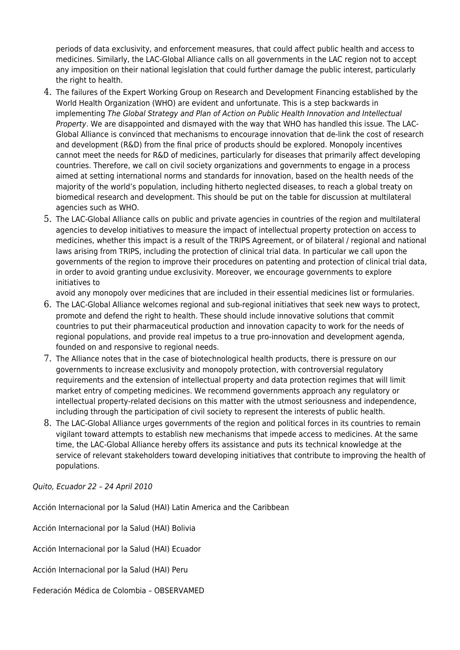periods of data exclusivity, and enforcement measures, that could affect public health and access to medicines. Similarly, the LAC-Global Alliance calls on all governments in the LAC region not to accept any imposition on their national legislation that could further damage the public interest, particularly the right to health.

- 4. The failures of the Expert Working Group on Research and Development Financing established by the World Health Organization (WHO) are evident and unfortunate. This is a step backwards in implementing The Global Strategy and Plan of Action on Public Health Innovation and Intellectual Property. We are disappointed and dismayed with the way that WHO has handled this issue. The LAC-Global Alliance is convinced that mechanisms to encourage innovation that de-link the cost of research and development (R&D) from the final price of products should be explored. Monopoly incentives cannot meet the needs for R&D of medicines, particularly for diseases that primarily affect developing countries. Therefore, we call on civil society organizations and governments to engage in a process aimed at setting international norms and standards for innovation, based on the health needs of the majority of the world's population, including hitherto neglected diseases, to reach a global treaty on biomedical research and development. This should be put on the table for discussion at multilateral agencies such as WHO.
- 5. The LAC-Global Alliance calls on public and private agencies in countries of the region and multilateral agencies to develop initiatives to measure the impact of intellectual property protection on access to medicines, whether this impact is a result of the TRIPS Agreement, or of bilateral / regional and national laws arising from TRIPS, including the protection of clinical trial data. In particular we call upon the governments of the region to improve their procedures on patenting and protection of clinical trial data, in order to avoid granting undue exclusivity. Moreover, we encourage governments to explore initiatives to

avoid any monopoly over medicines that are included in their essential medicines list or formularies.

- 6. The LAC-Global Alliance welcomes regional and sub-regional initiatives that seek new ways to protect, promote and defend the right to health. These should include innovative solutions that commit countries to put their pharmaceutical production and innovation capacity to work for the needs of regional populations, and provide real impetus to a true pro-innovation and development agenda, founded on and responsive to regional needs.
- 7. The Alliance notes that in the case of biotechnological health products, there is pressure on our governments to increase exclusivity and monopoly protection, with controversial regulatory requirements and the extension of intellectual property and data protection regimes that will limit market entry of competing medicines. We recommend governments approach any regulatory or intellectual property-related decisions on this matter with the utmost seriousness and independence, including through the participation of civil society to represent the interests of public health.
- 8. The LAC-Global Alliance urges governments of the region and political forces in its countries to remain vigilant toward attempts to establish new mechanisms that impede access to medicines. At the same time, the LAC-Global Alliance hereby offers its assistance and puts its technical knowledge at the service of relevant stakeholders toward developing initiatives that contribute to improving the health of populations.

Quito, Ecuador 22 – 24 April 2010

Acción Internacional por la Salud (HAI) Latin America and the Caribbean

Acción Internacional por la Salud (HAI) Bolivia

Acción Internacional por la Salud (HAI) Ecuador

Acción Internacional por la Salud (HAI) Peru

Federación Médica de Colombia – OBSERVAMED